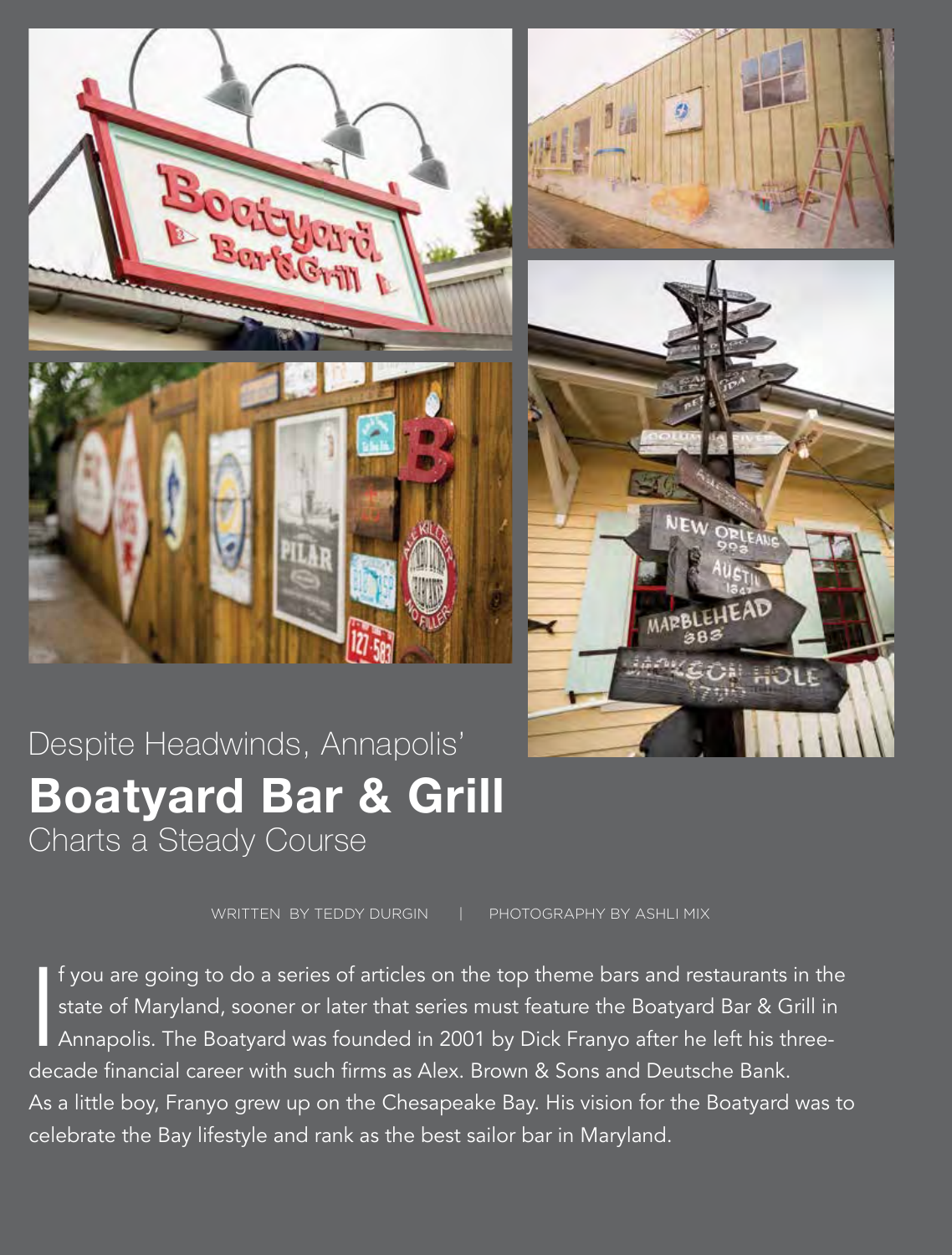





## Despite Headwinds, Annapolis' **Boatyard Bar & Grill**  Charts a Steady Course

WRITTEN BY TEDDY DURGIN | PHOTOGRAPHY BY ASHLI MIX

|<br>dog f you are going to do a series of articles on the top theme bars and restaurants in the state of Maryland, sooner or later that series must feature the Boatyard Bar & Grill in Annapolis. The Boatyard was founded in 2001 by Dick Franyo after he left his threedecade financial career with such firms as Alex. Brown & Sons and Deutsche Bank. As a little boy, Franyo grew up on the Chesapeake Bay. His vision for the Boatyard was to celebrate the Bay lifestyle and rank as the best sailor bar in Maryland.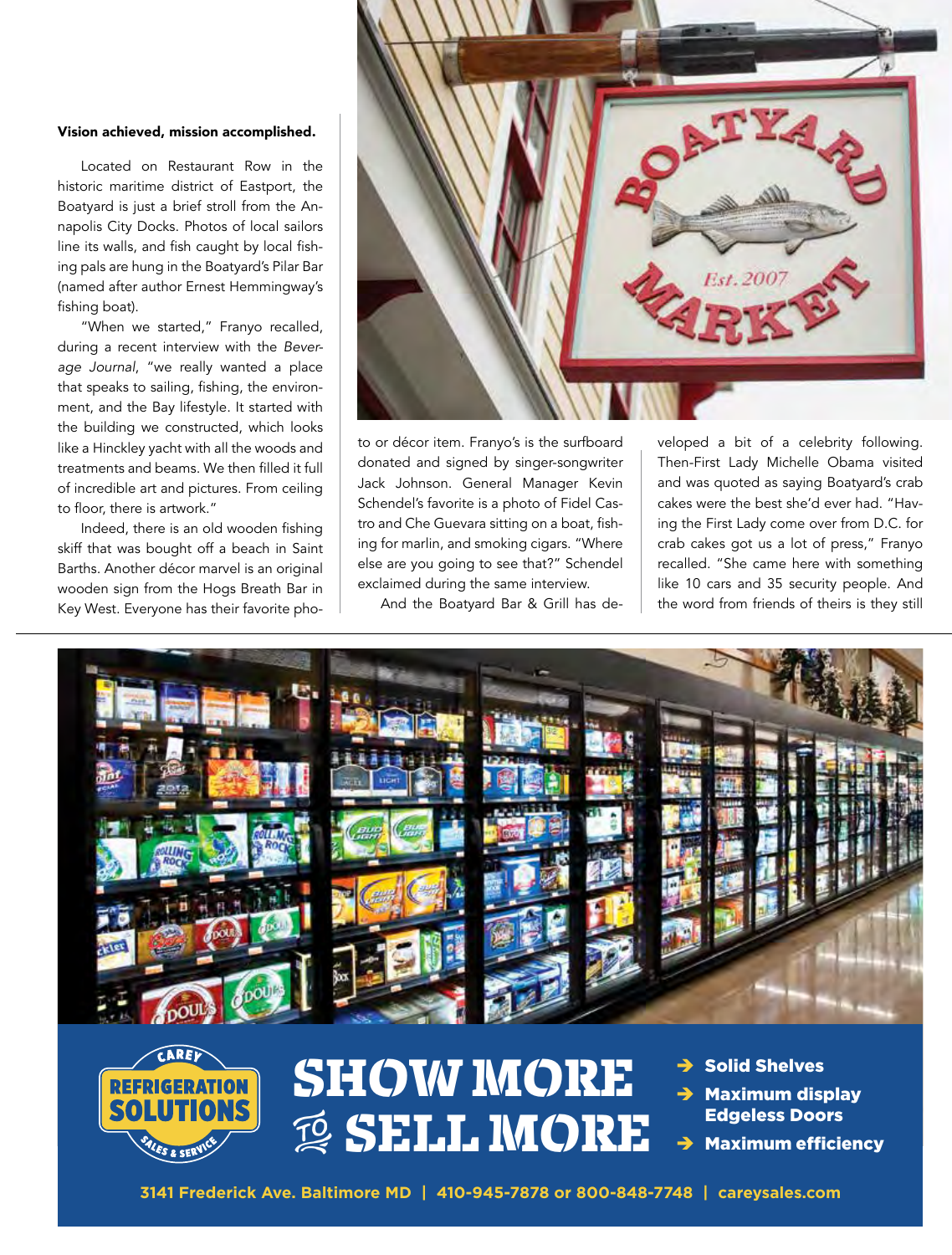## Vision achieved, mission accomplished.

Located on Restaurant Row in the historic maritime district of Eastport, the Boatyard is just a brief stroll from the Annapolis City Docks. Photos of local sailors line its walls, and fish caught by local fishing pals are hung in the Boatyard's Pilar Bar (named after author Ernest Hemmingway's fishing boat).

"When we started," Franyo recalled, during a recent interview with the *Beverage Journal*, "we really wanted a place that speaks to sailing, fishing, the environment, and the Bay lifestyle. It started with the building we constructed, which looks like a Hinckley yacht with all the woods and treatments and beams. We then filled it full of incredible art and pictures. From ceiling to floor, there is artwork."

Indeed, there is an old wooden fishing skiff that was bought off a beach in Saint Barths. Another décor marvel is an original wooden sign from the Hogs Breath Bar in Key West. Everyone has their favorite pho-



to or décor item. Franyo's is the surfboard donated and signed by singer-songwriter Jack Johnson. General Manager Kevin Schendel's favorite is a photo of Fidel Castro and Che Guevara sitting on a boat, fishing for marlin, and smoking cigars. "Where else are you going to see that?" Schendel exclaimed during the same interview.

And the Boatyard Bar & Grill has de-

veloped a bit of a celebrity following. Then-First Lady Michelle Obama visited and was quoted as saying Boatyard's crab cakes were the best she'd ever had. "Having the First Lady come over from D.C. for crab cakes got us a lot of press," Franyo recalled. "She came here with something like 10 cars and 35 security people. And the word from friends of theirs is they still





## SHOW MORE **<b>ESELL MORE**

- **Solid Shelves**
- **Maximum display** Edgeless Doors
- **Maximum efficiency**

**3141 Frederick Ave. Baltimore MD | 410-945-7878 or 800-848-7748 | careysales.com**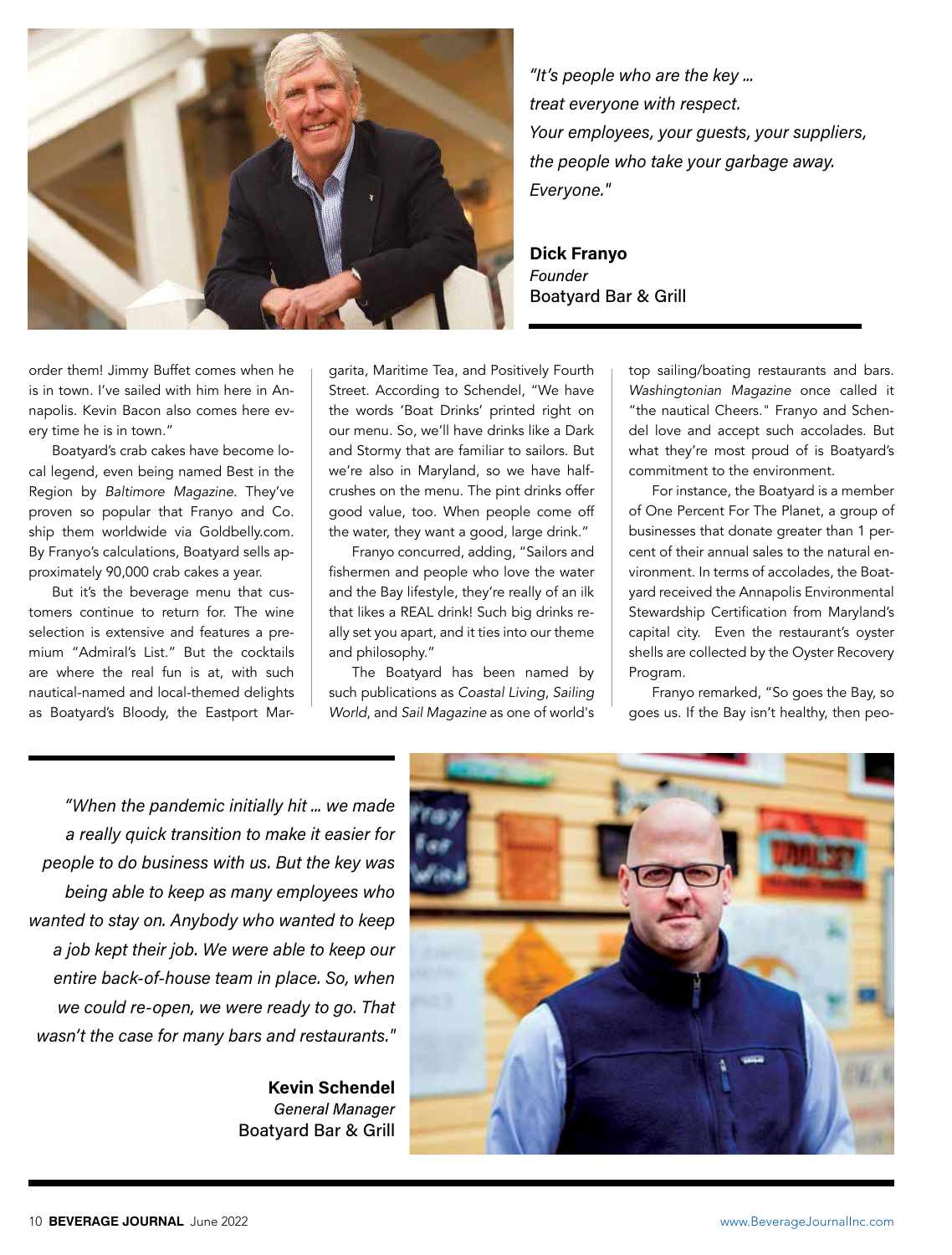

*"It's people who are the key ... treat everyone with respect. Your employees, your guests, your suppliers, the people who take your garbage away. Everyone."*

**Dick Franyo**  *Founder*  Boatyard Bar & Grill

order them! Jimmy Buffet comes when he is in town. I've sailed with him here in Annapolis. Kevin Bacon also comes here every time he is in town."

Boatyard's crab cakes have become local legend, even being named Best in the Region by *Baltimore Magazine*. They've proven so popular that Franyo and Co. ship them worldwide via Goldbelly.com. By Franyo's calculations, Boatyard sells approximately 90,000 crab cakes a year.

But it's the beverage menu that customers continue to return for. The wine selection is extensive and features a premium "Admiral's List." But the cocktails are where the real fun is at, with such nautical-named and local-themed delights as Boatyard's Bloody, the Eastport Margarita, Maritime Tea, and Positively Fourth Street. According to Schendel, "We have the words 'Boat Drinks' printed right on our menu. So, we'll have drinks like a Dark and Stormy that are familiar to sailors. But we're also in Maryland, so we have halfcrushes on the menu. The pint drinks offer good value, too. When people come off the water, they want a good, large drink."

Franyo concurred, adding, "Sailors and fishermen and people who love the water and the Bay lifestyle, they're really of an ilk that likes a REAL drink! Such big drinks really set you apart, and it ties into our theme and philosophy."

The Boatyard has been named by such publications as *Coastal Living*, *Sailing World*, and *Sail Magazine* as one of world's top sailing/boating restaurants and bars. *Washingtonian Magazine* once called it "the nautical Cheers." Franyo and Schendel love and accept such accolades. But what they're most proud of is Boatyard's commitment to the environment.

For instance, the Boatyard is a member of One Percent For The Planet, a group of businesses that donate greater than 1 percent of their annual sales to the natural environment. In terms of accolades, the Boatyard received the Annapolis Environmental Stewardship Certification from Maryland's capital city. Even the restaurant's oyster shells are collected by the Oyster Recovery Program.

Franyo remarked, "So goes the Bay, so goes us. If the Bay isn't healthy, then peo-

*"When the pandemic initially hit ... we made a really quick transition to make it easier for people to do business with us. But the key was being able to keep as many employees who wanted to stay on. Anybody who wanted to keep a job kept their job. We were able to keep our entire back-of-house team in place. So, when we could re-open, we were ready to go. That wasn't the case for many bars and restaurants."*

> **Kevin Schendel** *General Manager* Boatyard Bar & Grill